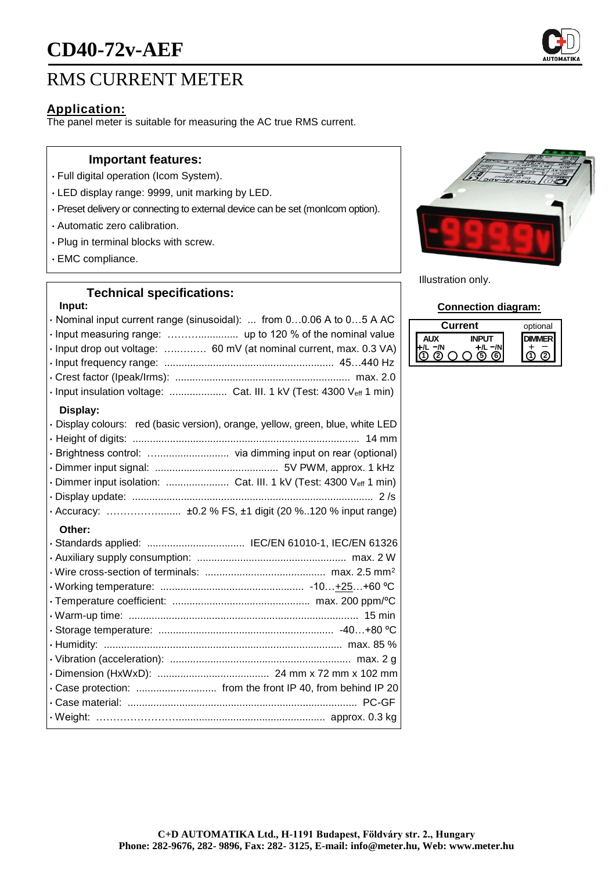# **CD40-72v-AEF**

# RMS CURRENT METER

### **Application:**

The panel meter is suitable for measuring the AC true RMS current.

#### **Important features:**

- Full digital operation (Icom System).
- LED display range: 9999, unit marking by LED.
- Preset delivery or connecting to external device can be set (monIcom option).
- Automatic zero calibration.
- Plug in terminal blocks with screw.
- EMC compliance.

## **Technical specifications:**

#### **Input:**

| · Nominal input current range (sinusoidal):  from 00.06 A to 05 A AC<br>· Input drop out voltage:  60 mV (at nominal current, max. 0.3 VA)<br>· Input insulation voltage:  Cat. III. 1 kV (Test: 4300 Veff 1 min) |
|-------------------------------------------------------------------------------------------------------------------------------------------------------------------------------------------------------------------|
| Display:<br>· Display colours: red (basic version), orange, yellow, green, blue, white LED                                                                                                                        |
|                                                                                                                                                                                                                   |
| · Brightness control:  via dimming input on rear (optional)                                                                                                                                                       |
|                                                                                                                                                                                                                   |
| · Dimmer input isolation:  Cat. III. 1 kV (Test: 4300 Veff 1 min)                                                                                                                                                 |
|                                                                                                                                                                                                                   |
|                                                                                                                                                                                                                   |
| Other:                                                                                                                                                                                                            |
| · Standards applied:  IEC/EN 61010-1, IEC/EN 61326                                                                                                                                                                |
|                                                                                                                                                                                                                   |
|                                                                                                                                                                                                                   |
|                                                                                                                                                                                                                   |
|                                                                                                                                                                                                                   |
|                                                                                                                                                                                                                   |
|                                                                                                                                                                                                                   |
|                                                                                                                                                                                                                   |
|                                                                                                                                                                                                                   |
|                                                                                                                                                                                                                   |
|                                                                                                                                                                                                                   |
|                                                                                                                                                                                                                   |
|                                                                                                                                                                                                                   |



Illustration only.

#### **Connection diagram:**

| urrent | optional |
|--------|----------|
|        |          |